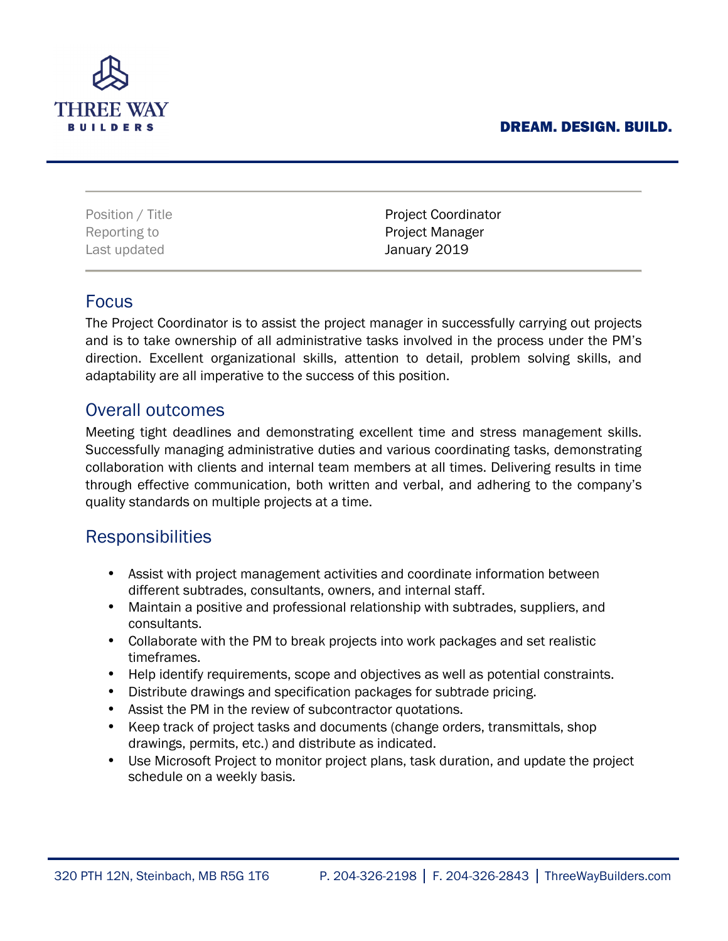#### DREAM. DESIGN. BUILD.



| Position / Title | <b>Project Coordinator</b> |
|------------------|----------------------------|
| Reporting to     | <b>Project Manager</b>     |
| Last updated     | January 2019               |

### Focus

The Project Coordinator is to assist the project manager in successfully carrying out projects and is to take ownership of all administrative tasks involved in the process under the PM's direction. Excellent organizational skills, attention to detail, problem solving skills, and adaptability are all imperative to the success of this position.

## Overall outcomes

Meeting tight deadlines and demonstrating excellent time and stress management skills. Successfully managing administrative duties and various coordinating tasks, demonstrating collaboration with clients and internal team members at all times. Delivering results in time through effective communication, both written and verbal, and adhering to the company's quality standards on multiple projects at a time.

## Responsibilities

- Assist with project management activities and coordinate information between different subtrades, consultants, owners, and internal staff.
- Maintain a positive and professional relationship with subtrades, suppliers, and consultants.
- Collaborate with the PM to break projects into work packages and set realistic timeframes.
- Help identify requirements, scope and objectives as well as potential constraints.
- Distribute drawings and specification packages for subtrade pricing.
- Assist the PM in the review of subcontractor quotations.
- Keep track of project tasks and documents (change orders, transmittals, shop drawings, permits, etc.) and distribute as indicated.
- Use Microsoft Project to monitor project plans, task duration, and update the project schedule on a weekly basis.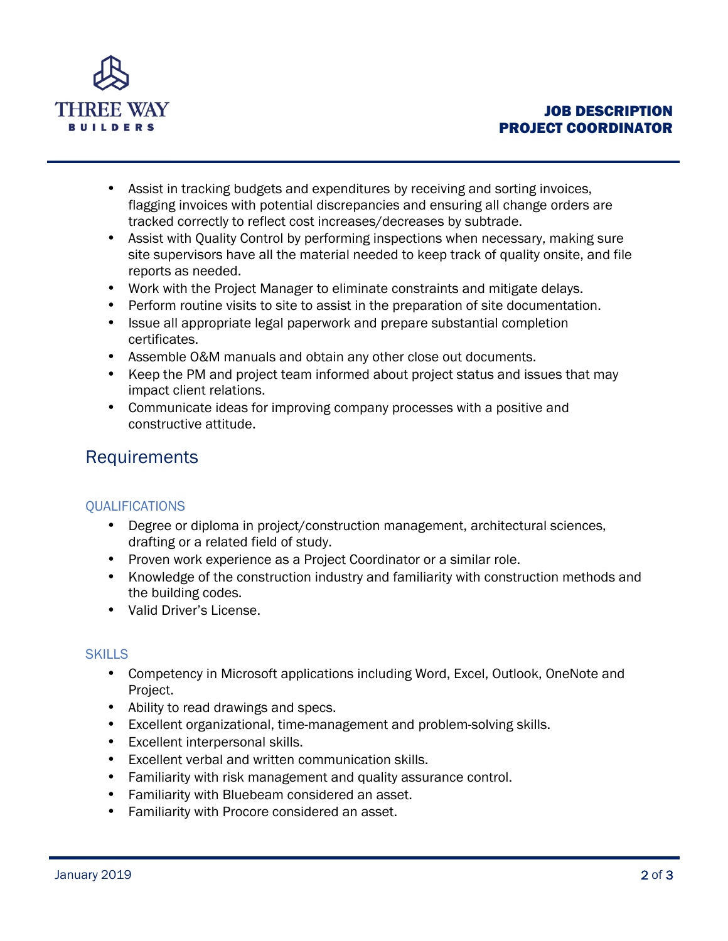

- Assist in tracking budgets and expenditures by receiving and sorting invoices, flagging invoices with potential discrepancies and ensuring all change orders are tracked correctly to reflect cost increases/decreases by subtrade.
- Assist with Quality Control by performing inspections when necessary, making sure site supervisors have all the material needed to keep track of quality onsite, and file reports as needed.
- Work with the Project Manager to eliminate constraints and mitigate delays.
- Perform routine visits to site to assist in the preparation of site documentation.
- Issue all appropriate legal paperwork and prepare substantial completion certificates.
- Assemble O&M manuals and obtain any other close out documents.
- Keep the PM and project team informed about project status and issues that may impact client relations.
- Communicate ideas for improving company processes with a positive and constructive attitude.

# **Requirements**

### **OUALIFICATIONS**

- Degree or diploma in project/construction management, architectural sciences, drafting or a related field of study.
- Proven work experience as a Project Coordinator or a similar role.
- Knowledge of the construction industry and familiarity with construction methods and the building codes.
- Valid Driver's License.

### **SKILLS**

- Competency in Microsoft applications including Word, Excel, Outlook, OneNote and Project.
- Ability to read drawings and specs.
- Excellent organizational, time-management and problem-solving skills.
- Excellent interpersonal skills.
- Excellent verbal and written communication skills.
- Familiarity with risk management and quality assurance control.
- Familiarity with Bluebeam considered an asset.
- Familiarity with Procore considered an asset.